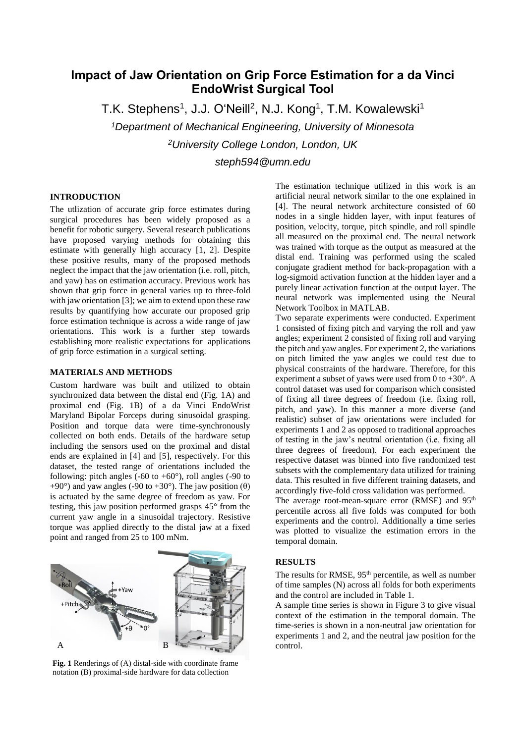# **Impact of Jaw Orientation on Grip Force Estimation for a da Vinci EndoWrist Surgical Tool**

T.K. Stephens<sup>1</sup>, J.J. OʻNeill<sup>2</sup>, N.J. Kong<sup>1</sup>, T.M. Kowalewski<sup>1</sup>

*<sup>1</sup>Department of Mechanical Engineering, University of Minnesota <sup>2</sup>University College London, London, UK*

*steph594@umn.edu*

### **INTRODUCTION**

The utlization of accurate grip force estimates during surgical procedures has been widely proposed as a benefit for robotic surgery. Several research publications have proposed varying methods for obtaining this estimate with generally high accuracy [1, 2]. Despite these positive results, many of the proposed methods neglect the impact that the jaw orientation (i.e. roll, pitch, and yaw) has on estimation accuracy. Previous work has shown that grip force in general varies up to three-fold with jaw orientation [3]; we aim to extend upon these raw results by quantifying how accurate our proposed grip force estimation technique is across a wide range of jaw orientations. This work is a further step towards establishing more realistic expectations for applications of grip force estimation in a surgical setting.

## **MATERIALS AND METHODS**

Custom hardware was built and utilized to obtain synchronized data between the distal end (Fig. 1A) and proximal end (Fig. 1B) of a da Vinci EndoWrist Maryland Bipolar Forceps during sinusoidal grasping. Position and torque data were time-synchronously collected on both ends. Details of the hardware setup including the sensors used on the proximal and distal ends are explained in [4] and [5], respectively. For this dataset, the tested range of orientations included the following: pitch angles (-60 to +60 $^{\circ}$ ), roll angles (-90 to +90°) and yaw angles (-90 to +30°). The jaw position ( $\theta$ ) is actuated by the same degree of freedom as yaw. For testing, this jaw position performed grasps 45° from the current yaw angle in a sinusoidal trajectory. Resistive torque was applied directly to the distal jaw at a fixed point and ranged from 25 to 100 mNm.



**Fig. 1** Renderings of (A) distal-side with coordinate frame notation (B) proximal-side hardware for data collection

The estimation technique utilized in this work is an artificial neural network similar to the one explained in [4]. The neural network architecture consisted of 60 nodes in a single hidden layer, with input features of position, velocity, torque, pitch spindle, and roll spindle all measured on the proximal end. The neural network was trained with torque as the output as measured at the distal end. Training was performed using the scaled conjugate gradient method for back-propagation with a log-sigmoid activation function at the hidden layer and a purely linear activation function at the output layer. The neural network was implemented using the Neural Network Toolbox in MATLAB.

Two separate experiments were conducted. Experiment 1 consisted of fixing pitch and varying the roll and yaw angles; experiment 2 consisted of fixing roll and varying the pitch and yaw angles. For experiment 2, the variations on pitch limited the yaw angles we could test due to physical constraints of the hardware. Therefore, for this experiment a subset of yaws were used from 0 to  $+30^{\circ}$ . A control dataset was used for comparison which consisted of fixing all three degrees of freedom (i.e. fixing roll, pitch, and yaw). In this manner a more diverse (and realistic) subset of jaw orientations were included for experiments 1 and 2 as opposed to traditional approaches of testing in the jaw's neutral orientation (i.e. fixing all three degrees of freedom). For each experiment the respective dataset was binned into five randomized test subsets with the complementary data utilized for training data. This resulted in five different training datasets, and accordingly five-fold cross validation was performed.

The average root-mean-square error (RMSE) and 95<sup>th</sup> percentile across all five folds was computed for both experiments and the control. Additionally a time series was plotted to visualize the estimation errors in the temporal domain.

#### **RESULTS**

The results for RMSE, 95<sup>th</sup> percentile, as well as number of time samples (N) across all folds for both experiments and the control are included in Table 1.

A sample time series is shown in Figure 3 to give visual context of the estimation in the temporal domain. The time-series is shown in a non-neutral jaw orientation for experiments 1 and 2, and the neutral jaw position for the control.